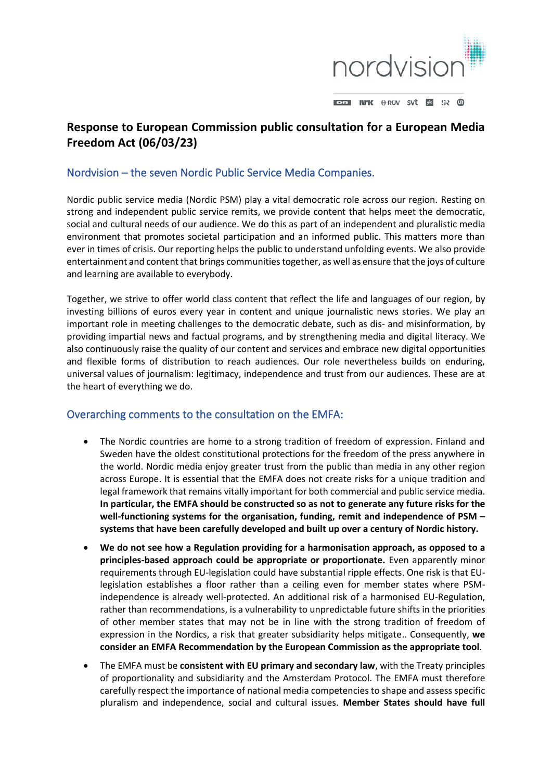

# **Response to European Commission public consultation for a European Media Freedom Act (06/03/23)**

## Nordvision – the seven Nordic Public Service Media Companies.

Nordic public service media (Nordic PSM) play a vital democratic role across our region. Resting on strong and independent public service remits, we provide content that helps meet the democratic, social and cultural needs of our audience. We do this as part of an independent and pluralistic media environment that promotes societal participation and an informed public. This matters more than ever in times of crisis. Our reporting helps the public to understand unfolding events. We also provide entertainment and content that brings communities together, as well as ensure that the joys of culture and learning are available to everybody.

Together, we strive to offer world class content that reflect the life and languages of our region, by investing billions of euros every year in content and unique journalistic news stories. We play an important role in meeting challenges to the democratic debate, such as dis- and misinformation, by providing impartial news and factual programs, and by strengthening media and digital literacy. We also continuously raise the quality of our content and services and embrace new digital opportunities and flexible forms of distribution to reach audiences. Our role nevertheless builds on enduring, universal values of journalism: legitimacy, independence and trust from our audiences. These are at the heart of everything we do.

## Overarching comments to the consultation on the EMFA:

- The Nordic countries are home to a strong tradition of freedom of expression. Finland and Sweden have the oldest constitutional protections for the freedom of the press anywhere in the world. Nordic media enjoy greater trust from the public than media in any other region across Europe. It is essential that the EMFA does not create risks for a unique tradition and legal framework that remains vitally important for both commercial and public service media. **In particular, the EMFA should be constructed so as not to generate any future risks for the well-functioning systems for the organisation, funding, remit and independence of PSM – systems that have been carefully developed and built up over a century of Nordic history.**
- **We do not see how a Regulation providing for a harmonisation approach, as opposed to a principles-based approach could be appropriate or proportionate.** Even apparently minor requirements through EU-legislation could have substantial ripple effects. One risk is that EUlegislation establishes a floor rather than a ceiling even for member states where PSMindependence is already well-protected. An additional risk of a harmonised EU-Regulation, rather than recommendations, is a vulnerability to unpredictable future shifts in the priorities of other member states that may not be in line with the strong tradition of freedom of expression in the Nordics, a risk that greater subsidiarity helps mitigate.. Consequently, **we consider an EMFA Recommendation by the European Commission as the appropriate tool**.
- The EMFA must be **consistent with EU primary and secondary law**, with the Treaty principles of proportionality and subsidiarity and the Amsterdam Protocol. The EMFA must therefore carefully respect the importance of national media competencies to shape and assess specific pluralism and independence, social and cultural issues. **Member States should have full**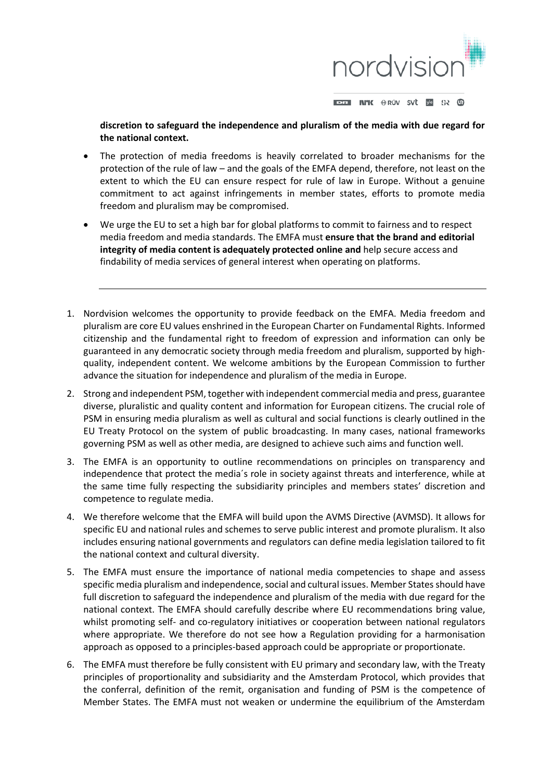

**discretion to safeguard the independence and pluralism of the media with due regard for the national context.** 

- The protection of media freedoms is heavily correlated to broader mechanisms for the protection of the rule of law – and the goals of the EMFA depend, therefore, not least on the extent to which the EU can ensure respect for rule of law in Europe. Without a genuine commitment to act against infringements in member states, efforts to promote media freedom and pluralism may be compromised.
- We urge the EU to set a high bar for global platforms to commit to fairness and to respect media freedom and media standards. The EMFA must **ensure that the brand and editorial integrity of media content is adequately protected online and** help secure access and findability of media services of general interest when operating on platforms.
- 1. Nordvision welcomes the opportunity to provide feedback on the EMFA. Media freedom and pluralism are core EU values enshrined in the European Charter on Fundamental Rights. Informed citizenship and the fundamental right to freedom of expression and information can only be guaranteed in any democratic society through media freedom and pluralism, supported by highquality, independent content. We welcome ambitions by the European Commission to further advance the situation for independence and pluralism of the media in Europe.
- 2. Strong and independent PSM, together with independent commercial media and press, guarantee diverse, pluralistic and quality content and information for European citizens. The crucial role of PSM in ensuring media pluralism as well as cultural and social functions is clearly outlined in the EU Treaty Protocol on the system of public broadcasting. In many cases, national frameworks governing PSM as well as other media, are designed to achieve such aims and function well.
- 3. The EMFA is an opportunity to outline recommendations on principles on transparency and independence that protect the media´s role in society against threats and interference, while at the same time fully respecting the subsidiarity principles and members states' discretion and competence to regulate media.
- 4. We therefore welcome that the EMFA will build upon the AVMS Directive (AVMSD). It allows for specific EU and national rules and schemes to serve public interest and promote pluralism. It also includes ensuring national governments and regulators can define media legislation tailored to fit the national context and cultural diversity.
- 5. The EMFA must ensure the importance of national media competencies to shape and assess specific media pluralism and independence, social and cultural issues. Member States should have full discretion to safeguard the independence and pluralism of the media with due regard for the national context. The EMFA should carefully describe where EU recommendations bring value, whilst promoting self- and co-regulatory initiatives or cooperation between national regulators where appropriate. We therefore do not see how a Regulation providing for a harmonisation approach as opposed to a principles-based approach could be appropriate or proportionate.
- 6. The EMFA must therefore be fully consistent with EU primary and secondary law, with the Treaty principles of proportionality and subsidiarity and the Amsterdam Protocol, which provides that the conferral, definition of the remit, organisation and funding of PSM is the competence of Member States. The EMFA must not weaken or undermine the equilibrium of the Amsterdam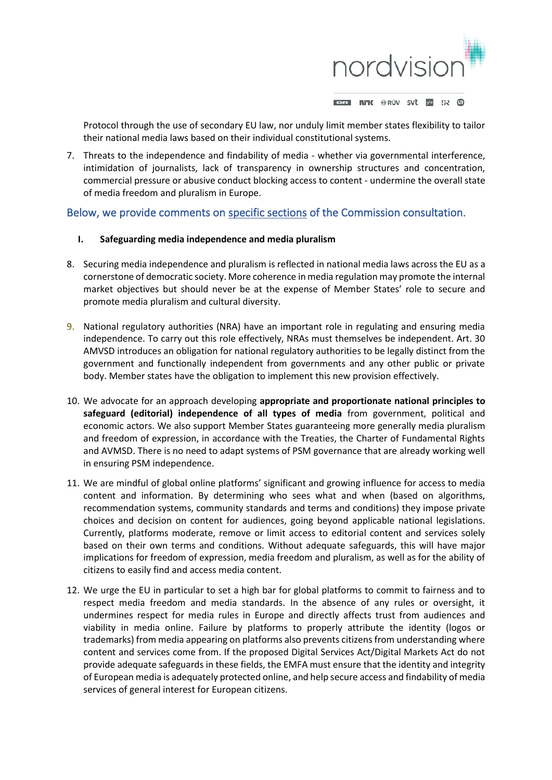

Protocol through the use of secondary EU law, nor unduly limit member states flexibility to tailor their national media laws based on their individual constitutional systems.

7. Threats to the independence and findability of media - whether via governmental interference, intimidation of journalists, lack of transparency in ownership structures and concentration, commercial pressure or abusive conduct blocking access to content - undermine the overall state of media freedom and pluralism in Europe.

### Below, we provide comments on specific sections of the Commission consultation.

#### **I. Safeguarding media independence and media pluralism**

- 8. Securing media independence and pluralism is reflected in national media laws across the EU as a cornerstone of democratic society. More coherence in media regulation may promote the internal market objectives but should never be at the expense of Member States' role to secure and promote media pluralism and cultural diversity.
- 9. National regulatory authorities (NRA) have an important role in regulating and ensuring media independence. To carry out this role effectively, NRAs must themselves be independent. Art. 30 AMVSD introduces an obligation for national regulatory authorities to be legally distinct from the government and functionally independent from governments and any other public or private body. Member states have the obligation to implement this new provision effectively.
- 10. We advocate for an approach developing **appropriate and proportionate national principles to safeguard (editorial) independence of all types of media** from government, political and economic actors. We also support Member States guaranteeing more generally media pluralism and freedom of expression, in accordance with the Treaties, the Charter of Fundamental Rights and AVMSD. There is no need to adapt systems of PSM governance that are already working well in ensuring PSM independence.
- 11. We are mindful of global online platforms' significant and growing influence for access to media content and information. By determining who sees what and when (based on algorithms, recommendation systems, community standards and terms and conditions) they impose private choices and decision on content for audiences, going beyond applicable national legislations. Currently, platforms moderate, remove or limit access to editorial content and services solely based on their own terms and conditions. Without adequate safeguards, this will have major implications for freedom of expression, media freedom and pluralism, as well as for the ability of citizens to easily find and access media content.
- 12. We urge the EU in particular to set a high bar for global platforms to commit to fairness and to respect media freedom and media standards. In the absence of any rules or oversight, it undermines respect for media rules in Europe and directly affects trust from audiences and viability in media online. Failure by platforms to properly attribute the identity (logos or trademarks) from media appearing on platforms also prevents citizens from understanding where content and services come from. If the proposed Digital Services Act/Digital Markets Act do not provide adequate safeguards in these fields, the EMFA must ensure that the identity and integrity of European media is adequately protected online, and help secure access and findability of media services of general interest for European citizens.